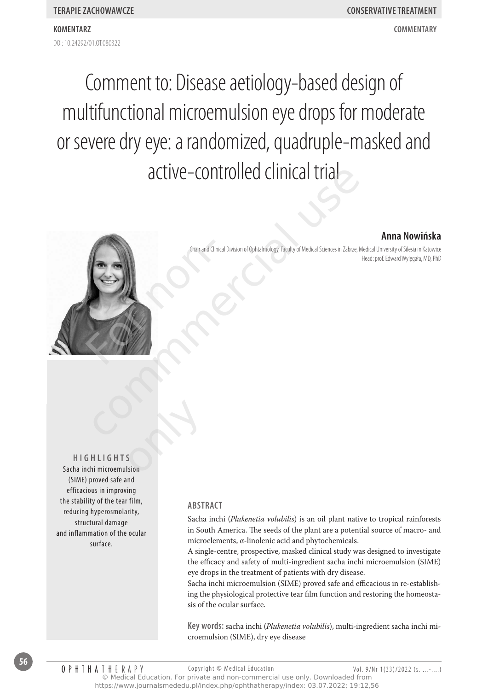DOI: 10.24292/01.0T080322 **komentarz commentary**

# Comment to: Disease aetiology-based design of multifunctional microemulsion eye drops for moderate or severe dry eye: a randomized, quadruple-masked and active-controlled clinical trial

# **Anna Nowińska**

Chair and Clinical Division of Ophtalmology, Faculty of Medical Sciences in Zabrze, Medical University of Silesia in Katowice Head: prof. Edward Wylęgała, MD, PhD



**Hig h lig h t s** Sacha inchi microemulsion (SIME) proved safe and efficacious in improving the stability of the tear film, reducing hyperosmolarity, structural damage and inflammation of the ocular surface. s<br>Sision<br>Sision

### **Abstract**

Sacha inchi (*Plukenetia volubilis*) is an oil plant native to tropical rainforests in South America. The seeds of the plant are a potential source of macro- and microelements, α-linolenic acid and phytochemicals.

A single-centre, prospective, masked clinical study was designed to investigate the efficacy and safety of multi-ingredient sacha inchi microemulsion (SIME) eye drops in the treatment of patients with dry disease.

Sacha inchi microemulsion (SIME) proved safe and efficacious in re-establishing the physiological protective tear film function and restoring the homeostasis of the ocular surface.

**Key words:** sacha inchi (*Plukenetia volubilis*), multi-ingredient sacha inchi microemulsion (SIME), dry eye disease

**56**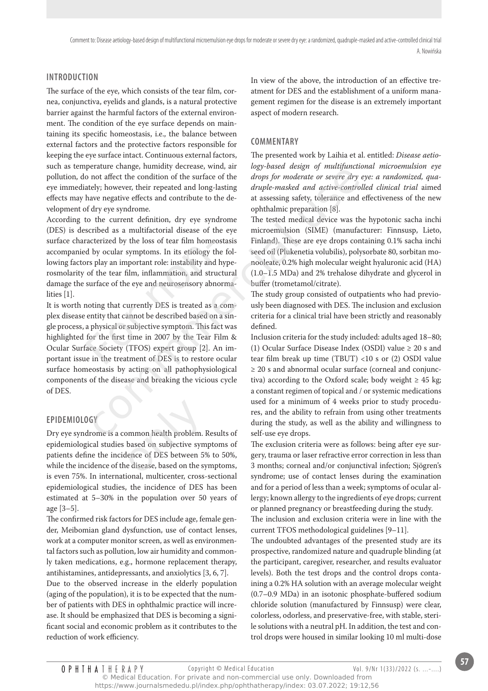# **Introduction**

The surface of the eye, which consists of the tear film, cornea, conjunctiva, eyelids and glands, is a natural protective barrier against the harmful factors of the external environment. The condition of the eye surface depends on maintaining its specific homeostasis, i.e., the balance between external factors and the protective factors responsible for keeping the eye surface intact. Continuous external factors, such as temperature change, humidity decrease, wind, air pollution, do not affect the condition of the surface of the eye immediately; however, their repeated and long-lasting effects may have negative effects and contribute to the development of dry eye syndrome.

According to the current definition, dry eye syndrome (DES) is described as a multifactorial disease of the eye surface characterized by the loss of tear film homeostasis accompanied by ocular symptoms. In its etiology the following factors play an important role: instability and hyperosmolarity of the tear film, inflammation, and structural damage the surface of the eye and neurosensory abnormalities [1].

It is worth noting that currently DES is treated as a complex disease entity that cannot be described based on a single process, a physical or subjective symptom. This fact was highlighted for the first time in 2007 by the Tear Film & Ocular Surface Society (TFOS) expert group [2]. An important issue in the treatment of DES is to restore ocular surface homeostasis by acting on all pathophysiological components of the disease and breaking the vicious cycle of DES. racterized by the loss of tear film home<br>d by ocular symptoms. In its etiology t<br>prs play an important role: instability and<br>of the tear film, inflammation, and stru<br>surface of the eye and neurosensory abr<br>noting that curr France change, immunity decases, wind, an *inegy-busea assign of miniquences* and a first the condition of the surface of the *drops for moderate or severe dry eyes* eye, their repeated and one-last assessing safety, tole

# **Epidemiology**

Dry eye syndrome is a common health problem. Results of epidemiological studies based on subjective symptoms of patients define the incidence of DES between 5% to 50%, while the incidence of the disease, based on the symptoms, is even 75%. In international, multicenter, cross-sectional epidemiological studies, the incidence of DES has been estimated at 5–30% in the population over 50 years of age [3–5]. ommon health problem.<br>
based on subjective sym<br>
lence of DES between 59<br>
e disease, based on the sy

The confirmed risk factors for DES include age, female gender, Meibomian gland dysfunction, use of contact lenses, work at a computer monitor screen, as well as environmental factors such as pollution, low air humidity and commonly taken medications, e.g., hormone replacement therapy, antihistamines, antidepressants, and anxiolytics [3, 6, 7].

Due to the observed increase in the elderly population (aging of the population), it is to be expected that the number of patients with DES in ophthalmic practice will increase. It should be emphasized that DES is becoming a significant social and economic problem as it contributes to the reduction of work efficiency.

In view of the above, the introduction of an effective treatment for DES and the establishment of a uniform management regimen for the disease is an extremely important aspect of modern research.

## **Commentary**

The presented work by Laihia et al. entitled: *Disease aetiology-based design of multifunctional microemulsion eye drops for moderate or severe dry eye: a randomized, quadruple-masked and active-controlled clinical trial* aimed at assessing safety, tolerance and effectiveness of the new ophthalmic preparation [8].

The tested medical device was the hypotonic sacha inchi microemulsion (SIME) (manufacturer: Finnsusp, Lieto, Finland). These are eye drops containing 0.1% sacha inchi seed oil (Plukenetia volubilis), polysorbate 80, sorbitan monooleate, 0.2% high molecular weight hyaluronic acid (HA) (1.0–1.5 MDa) and 2% trehalose dihydrate and glycerol in buffer (trometamol/citrate).

The study group consisted of outpatients who had previously been diagnosed with DES. The inclusion and exclusion criteria for a clinical trial have been strictly and reasonably defined.

Inclusion criteria for the study included: adults aged 18–80; (1) Ocular Surface Disease Index (OSDI) value ≥ 20 s and tear film break up time (TBUT) <10 s or (2) OSDI value ≥ 20 s and abnormal ocular surface (corneal and conjunctiva) according to the Oxford scale; body weight  $\geq 45$  kg; a constant regimen of topical and / or systemic medications used for a minimum of 4 weeks prior to study procedures, and the ability to refrain from using other treatments during the study, as well as the ability and willingness to self-use eye drops.

The exclusion criteria were as follows: being after eye surgery, trauma or laser refractive error correction in less than 3 months; corneal and/or conjunctival infection; Sjögren's syndrome; use of contact lenses during the examination and for a period of less than a week; symptoms of ocular allergy; known allergy to the ingredients of eye drops; current or planned pregnancy or breastfeeding during the study.

The inclusion and exclusion criteria were in line with the current TFOS methodological guidelines [9–11].

The undoubted advantages of the presented study are its prospective, randomized nature and quadruple blinding (at the participant, caregiver, researcher, and results evaluator levels). Both the test drops and the control drops containing a 0.2% HA solution with an average molecular weight (0.7–0.9 MDa) in an isotonic phosphate-buffered sodium chloride solution (manufactured by Finnsusp) were clear, colorless, odorless, and preservative-free, with stable, sterile solutions with a neutral pH. In addition, the test and control drops were housed in similar looking 10 ml multi-dose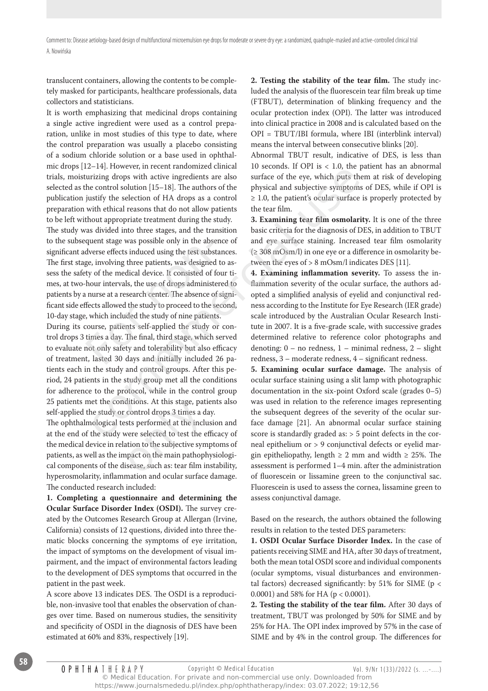translucent containers, allowing the contents to be completely masked for participants, healthcare professionals, data collectors and statisticians.

It is worth emphasizing that medicinal drops containing a single active ingredient were used as a control preparation, unlike in most studies of this type to date, where the control preparation was usually a placebo consisting of a sodium chloride solution or a base used in ophthalmic drops [12–14]. However, in recent randomized clinical trials, moisturizing drops with active ingredients are also selected as the control solution [15–18]. The authors of the publication justify the selection of HA drops as a control preparation with ethical reasons that do not allow patients to be left without appropriate treatment during the study.

The study was divided into three stages, and the transition to the subsequent stage was possible only in the absence of significant adverse effects induced using the test substances. The first stage, involving three patients, was designed to assess the safety of the medical device. It consisted of four times, at two-hour intervals, the use of drops administered to patients by a nurse at a research center. The absence of significant side effects allowed the study to proceed to the second, 10-day stage, which included the study of nine patients. quent stage was possible only in the abse<br>dverse effects induced using the test subs<br>ge, involving three patients, was designed<br>ty of the medical device. It consisted of f<br>hour intervals, the use of drops administ<br>nurse at E-11; Owever, in retenti tantonmata to secure the stated and subjective stated and subjective symptoms of HA drops as a control solution [15–18]. The authors of the physical and subjective symptoms of the control solution

During its course, patients self-applied the study or control drops 3 times a day. The final, third stage, which served to evaluate not only safety and tolerability but also efficacy of treatment, lasted 30 days and initially included 26 patients each in the study and control groups. After this period, 24 patients in the study group met all the conditions for adherence to the protocol, while in the control group 25 patients met the conditions. At this stage, patients also self-applied the study or control drops 3 times a day.

The ophthalmological tests performed at the inclusion and at the end of the study were selected to test the efficacy of the medical device in relation to the subjective symptoms of patients, as well as the impact on the main pathophysiologi-25 patients met the conditions. At this stage, patients also<br>self-applied the study or control drops 3 times a day.<br>The ophthalmological tests performed at the inclusion and<br>at the end of the study were selected to test th hyperosmolarity, inflammation and ocular surface damage. The conducted research included:

**1. Completing a questionnaire and determining the Ocular Surface Disorder Index (OSDI).** The survey created by the Outcomes Research Group at Allergan (Irvine, California) consists of 12 questions, divided into three thematic blocks concerning the symptoms of eye irritation, the impact of symptoms on the development of visual impairment, and the impact of environmental factors leading to the development of DES symptoms that occurred in the patient in the past week.

A score above 13 indicates DES. The OSDI is a reproducible, non-invasive tool that enables the observation of changes over time. Based on numerous studies, the sensitivity and specificity of OSDI in the diagnosis of DES have been estimated at 60% and 83%, respectively [19].

**2. Testing the stability of the tear film.** The study included the analysis of the fluorescein tear film break up time (FTBUT), determination of blinking frequency and the ocular protection index (OPI). The latter was introduced into clinical practice in 2008 and is calculated based on the OPI = TBUT/IBI formula, where IBI (interblink interval) means the interval between consecutive blinks [20].

Abnormal TBUT result, indicative of DES, is less than 10 seconds. If OPI is  $< 1.0$ , the patient has an abnormal surface of the eye, which puts them at risk of developing physical and subjective symptoms of DES, while if OPI is  $\geq$  1.0, the patient's ocular surface is properly protected by the tear film.

**3. Examining tear film osmolarity.** It is one of the three basic criteria for the diagnosis of DES, in addition to TBUT and eye surface staining. Increased tear film osmolarity (≥ 308 mOsm/l) in one eye or a difference in osmolarity between the eyes of > 8 mOsm/l indicates DES [11].

**4. Examining inflammation severity.** To assess the inflammation severity of the ocular surface, the authors adopted a simplified analysis of eyelid and conjunctival redness according to the Institute for Eye Research (IER grade) scale introduced by the Australian Ocular Research Institute in 2007. It is a five-grade scale, with successive grades determined relative to reference color photographs and denoting: 0 – no redness, 1 – minimal redness, 2 – slight redness, 3 – moderate redness, 4 – significant redness.

**5. Examining ocular surface damage.** The analysis of ocular surface staining using a slit lamp with photographic documentation in the six-point Oxford scale (grades 0–5) was used in relation to the reference images representing the subsequent degrees of the severity of the ocular surface damage [21]. An abnormal ocular surface staining score is standardly graded as: > 5 point defects in the corneal epithelium or > 9 conjunctival defects or eyelid margin epitheliopathy, length  $\geq 2$  mm and width  $\geq 25\%$ . The assessment is performed 1–4 min. after the administration of fluorescein or lissamine green to the conjunctival sac. Fluorescein is used to assess the cornea, lissamine green to assess conjunctival damage.

Based on the research, the authors obtained the following results in relation to the tested DES parameters:

**1. OSDI Ocular Surface Disorder Index.** In the case of patients receiving SIME and HA, after 30 days of treatment, both the mean total OSDI score and individual components (ocular symptoms, visual disturbances and environmental factors) decreased significantly: by 51% for SIME (p < 0.0001) and 58% for HA (p < 0.0001).

**2. Testing the stability of the tear film.** After 30 days of treatment, TBUT was prolonged by 50% for SIME and by 25% for HA. The OPI index improved by 57% in the case of SIME and by 4% in the control group. The differences for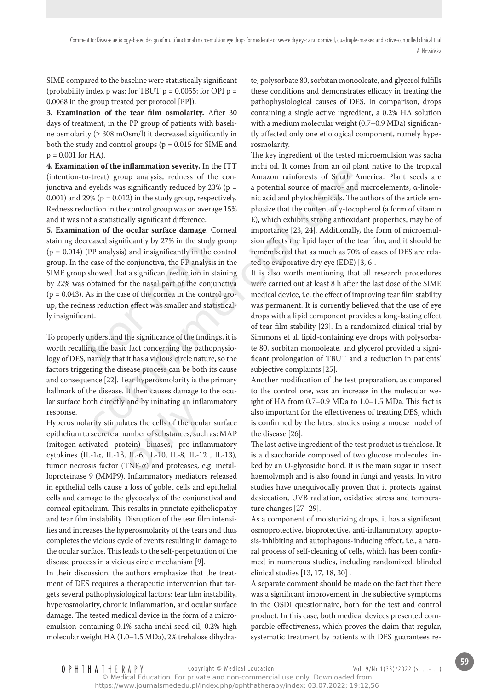SIME compared to the baseline were statistically significant (probability index p was: for TBUT  $p = 0.0055$ ; for OPI  $p =$ 0.0068 in the group treated per protocol [PP]).

**3. Examination of the tear film osmolarity.** After 30 days of treatment, in the PP group of patients with baseline osmolarity (≥ 308 mOsm/l) it decreased significantly in both the study and control groups ( $p = 0.015$  for SIME and  $p = 0.001$  for HA).

**4. Examination of the inflammation severity.** In the ITT (intention-to-treat) group analysis, redness of the conjunctiva and eyelids was significantly reduced by  $23\%$  (p = 0.001) and 29% ( $p = 0.012$ ) in the study group, respectively. Redness reduction in the control group was on average 15% and it was not a statistically significant difference.

**5. Examination of the ocular surface damage.** Corneal staining decreased significantly by 27% in the study group  $(p = 0.014)$  (PP analysis) and insignificantly in the control group. In the case of the conjunctiva, the PP analysis in the SIME group showed that a significant reduction in staining by 22% was obtained for the nasal part of the conjunctiva  $(p = 0.043)$ . As in the case of the cornea in the control group, the redness reduction effect was smaller and statistically insignificant. reased significantly by 27% in the study<br>(PP analysis) and insignificantly in the c<br>e case of the conjunctiva, the PP analysis<br>showed that a significant reduction in st<br>obtained for the nasal part of the conju<br>As in the ca on the minimimal severally. In use 111 unit on the minimimal several group analysis, redness of the con-<br>
denoted by 23% (p = a potential source of macro- and minimid of the con-<br>
evelids was significantly reduced by 23%

To properly understand the significance of the findings, it is worth recalling the basic fact concerning the pathophysiology of DES, namely that it has a vicious circle nature, so the factors triggering the disease process can be both its cause and consequence [22]. Tear hyperosmolarity is the primary hallmark of the disease. It then causes damage to the ocular surface both directly and by initiating an inflammatory response.

Hyperosmolarity stimulates the cells of the ocular surface epithelium to secrete a number of substances, such as: MAP (mitogen-activated protein) kinases, pro-inflammatory cytokines (IL-1α, IL-1β, IL-6, IL-10, IL-8, IL-12 , IL-13), lar surface both directly and by initiating an inflammatory<br>response.<br>Hyperosmolarity stimulates the cells of the ocular surface<br>epithelium to secrete a number of substances, such as: MAP<br>(mitogen-activated protein) kina loproteinase 9 (MMP9). Inflammatory mediators released in epithelial cells cause a loss of goblet cells and epithelial cells and damage to the glycocalyx of the conjunctival and corneal epithelium. This results in punctate epitheliopathy and tear film instability. Disruption of the tear film intensifies and increases the hyperosmolarity of the tears and thus completes the vicious cycle of events resulting in damage to the ocular surface. This leads to the self-perpetuation of the disease process in a vicious circle mechanism [9].

In their discussion, the authors emphasize that the treatment of DES requires a therapeutic intervention that targets several pathophysiological factors: tear film instability, hyperosmolarity, chronic inflammation, and ocular surface damage. The tested medical device in the form of a microemulsion containing 0.1% sacha inchi seed oil, 0.2% high molecular weight HA (1.0–1.5 MDa), 2% trehalose dihydrate, polysorbate 80, sorbitan monooleate, and glycerol fulfills these conditions and demonstrates efficacy in treating the pathophysiological causes of DES. In comparison, drops containing a single active ingredient, a 0.2% HA solution with a medium molecular weight (0.7–0.9 MDa) significantly affected only one etiological component, namely hyperosmolarity.

The key ingredient of the tested microemulsion was sacha inchi oil. It comes from an oil plant native to the tropical Amazon rainforests of South America. Plant seeds are a potential source of macro- and microelements, α-linolenic acid and phytochemicals. The authors of the article emphasize that the content of γ-tocopherol (a form of vitamin E), which exhibits strong antioxidant properties, may be of importance [23, 24]. Additionally, the form of microemulsion affects the lipid layer of the tear film, and it should be remembered that as much as 70% of cases of DES are related to evaporative dry eye (EDE) [3, 6].

It is also worth mentioning that all research procedures were carried out at least 8 h after the last dose of the SIME medical device, i.e. the effect of improving tear film stability was permanent. It is currently believed that the use of eye drops with a lipid component provides a long-lasting effect of tear film stability [23]. In a randomized clinical trial by Simmons et al. lipid-containing eye drops with polysorbate 80, sorbitan monooleate, and glycerol provided a significant prolongation of TBUT and a reduction in patients' subjective complaints [25].

Another modification of the test preparation, as compared to the control one, was an increase in the molecular weight of HA from 0.7–0.9 MDa to 1.0–1.5 MDa. This fact is also important for the effectiveness of treating DES, which is confirmed by the latest studies using a mouse model of the disease [26].

The last active ingredient of the test product is trehalose. It is a disaccharide composed of two glucose molecules linked by an O-glycosidic bond. It is the main sugar in insect haemolymph and is also found in fungi and yeasts. In vitro studies have unequivocally proven that it protects against desiccation, UVB radiation, oxidative stress and temperature changes [27–29].

As a component of moisturizing drops, it has a significant osmoprotective, bioprotective, anti-inflammatory, apoptosis-inhibiting and autophagous-inducing effect, i.e., a natural process of self-cleaning of cells, which has been confirmed in numerous studies, including randomized, blinded clinical studies [13, 17, 18, 30] .

A separate comment should be made on the fact that there was a significant improvement in the subjective symptoms in the OSDI questionnaire, both for the test and control product. In this case, both medical devices presented comparable effectiveness, which proves the claim that regular, systematic treatment by patients with DES guarantees re-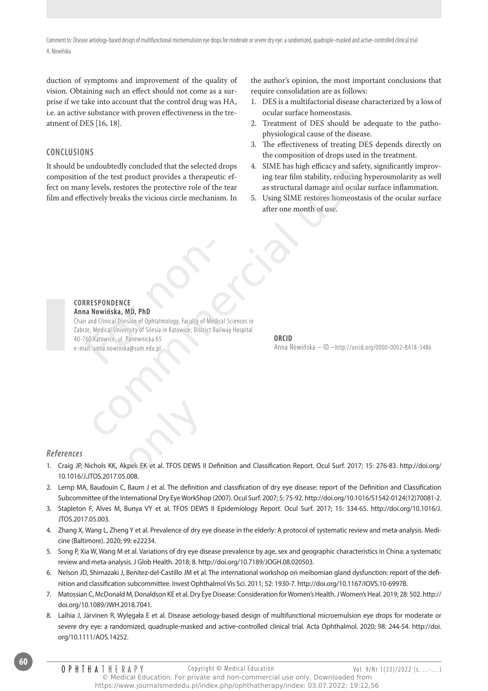duction of symptoms and improvement of the quality of vision. Obtaining such an effect should not come as a surprise if we take into account that the control drug was HA, i.e. an active substance with proven effectiveness in the treatment of DES [16, 18].

### **Conclusions**

It should be undoubtedly concluded that the selected drops composition of the test product provides a therapeutic effect on many levels, restores the protective role of the tear film and effectively breaks the vicious circle mechanism. In

the author's opinion, the most important conclusions that require consolidation are as follows:

- 1. DES is a multifactorial disease characterized by a loss of ocular surface homeostasis.
- 2. Treatment of DES should be adequate to the pathophysiological cause of the disease.
- 3. The effectiveness of treating DES depends directly on the composition of drops used in the treatment.
- 4. SIME has high efficacy and safety, significantly improving tear film stability, reducing hyperosmolarity as well as structural damage and ocular surface inflammation.
- 5. Using SIME restores homeostasis of the ocular surface after one month of use.

#### **correspondence Anna Nowińska, MD, PhD**

Chair and Clinical Division of Ophtalmology, Faculty of Medical Sciences in Zabrze, Medical University of Silesia in Katowice; District Railway Hospital 40-760 Katowice, ul. Panewnicka 65 e-mail: anna.nowinska@sum.edu.pl RESPONDENCE<br>
In Nowinska, MD, PhD<br>
Trand Clinical Division of Ophtalmology, Faculty of Med<br>
The Medical University of Silesia in Katowice; District R<br>
60 Katowice, ul. Panewnicka 65<br>
III: anna.nowinska@sum.edu.pl monotoncular contractations and the selection of the test product provides a therapeutic ef-<br>
of the test product provides a therapeutic ef-<br>
ling tear film stability, reducing hy<br>
levels, restores the protective role of t

#### **ORCID**

Anna Nowińska – ID –http://orcid.org/0000-0002-8418-3486

#### *References*

**60**

- References<br>1. Craig JP, Nichols KK, Akpek EK et al. TFOS DEWS II Definition and Classification Report. Ocul Surf. 2017; 15: 276-83. http://doi.org/<br>0. Craig JP, Nichols KK, Akpek EK et al. TFOS DEWS II Definition and Class 10.1016/J.JTOS.2017.05.008.
- 2. Lemp MA, Baudouin C, Baum J et al. The definition and classification of dry eye disease: report of the Definition and Classification Subcommittee of the International Dry Eye WorkShop (2007). Ocul Surf. 2007; 5: 75-92. http://doi.org/10.1016/S1542-0124(12)70081-2.
- 3. Stapleton F, Alves M, Bunya VY et al. TFOS DEWS II Epidemiology Report. Ocul Surf. 2017; 15: 334-65. http://doi.org/10.1016/J. JTOS.2017.05.003.
- 4. Zhang X, Wang L, Zheng Y et al. Prevalence of dry eye disease in the elderly: A protocol of systematic review and meta-analysis. Medicine (Baltimore). 2020; 99: e22234.
- 5. Song P, Xia W, Wang M et al. Variations of dry eye disease prevalence by age, sex and geographic characteristics in China: a systematic review and meta-analysis. J Glob Health. 2018; 8. http://doi.org/10.7189/JOGH.08.020503.
- 6. Nelson JD, Shimazaki J, Benitez-del-Castillo JM et al. The international workshop on meibomian gland dysfunction: report of the definition and classification subcommittee. Invest Ophthalmol Vis Sci. 2011; 52: 1930-7. http://doi.org/10.1167/IOVS.10-6997B.
- 7. Matossian C, McDonald M, Donaldson KE et al. Dry Eye Disease: Consideration for Women's Health. J Women's Heal. 2019; 28: 502. http:// doi.org/10.1089/JWH.2018.7041.
- 8. Laihia J, Järvinen R, Wylęgała E et al. Disease aetiology-based design of multifunctional microemulsion eye drops for moderate or severe dry eye: a randomized, quadruple-masked and active-controlled clinical trial. Acta Ophthalmol. 2020; 98: 244-54. http://doi. org/10.1111/AOS.14252.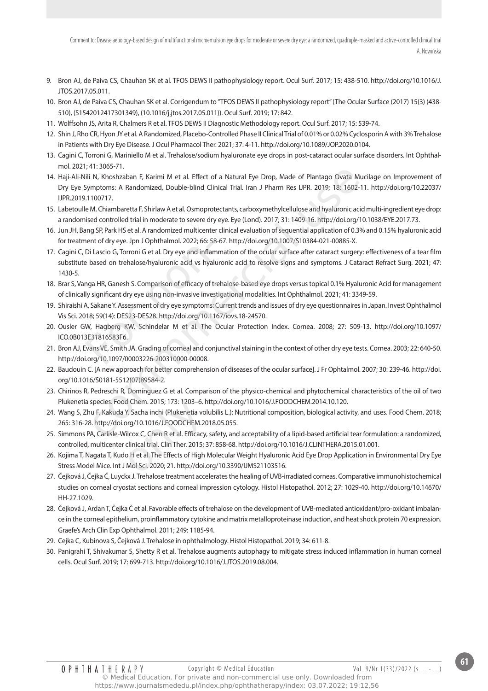- 9. Bron AJ, de Paiva CS, Chauhan SK et al. TFOS DEWS II pathophysiology report. Ocul Surf. 2017; 15: 438-510. http://doi.org/10.1016/J. JTOS.2017.05.011.
- 10. Bron AJ, de Paiva CS, Chauhan SK et al. Corrigendum to "TFOS DEWS II pathophysiology report" (The Ocular Surface (2017) 15(3) (438- 510), (S1542012417301349), (10.1016/j.jtos.2017.05.011)). Ocul Surf. 2019; 17: 842.
- 11. Wolffsohn JS, Arita R, Chalmers R et al. TFOS DEWS II Diagnostic Methodology report. Ocul Surf. 2017; 15: 539-74.
- 12. Shin J, Rho CR, Hyon JY et al. A Randomized, Placebo-Controlled Phase II Clinical Trial of 0.01% or 0.02% Cyclosporin A with 3% Trehalose in Patients with Dry Eye Disease. J Ocul Pharmacol Ther. 2021; 37: 4-11. http://doi.org/10.1089/JOP.2020.0104.
- 13. Cagini C, Torroni G, Mariniello M et al. Trehalose/sodium hyaluronate eye drops in post-cataract ocular surface disorders. Int Ophthalmol. 2021; 41: 3065-71.
- 14. Haji-Ali-Nili N, Khoshzaban F, Karimi M et al. Effect of a Natural Eye Drop, Made of Plantago Ovata Mucilage on Improvement of Dry Eye Symptoms: A Randomized, Double-blind Clinical Trial. Iran J Pharm Res IJPR. 2019; 18: 1602-11. http://doi.org/10.22037/ IJPR.2019.1100717.
- 15. Labetoulle M, Chiambaretta F, Shirlaw A et al. Osmoprotectants, carboxymethylcellulose and hyaluronic acid multi-ingredient eye drop: a randomised controlled trial in moderate to severe dry eye. Eye (Lond). 2017; 31: 1409-16. http://doi.org/10.1038/EYE.2017.73.
- 16. Jun JH, Bang SP, Park HS et al. A randomized multicenter clinical evaluation of sequential application of 0.3% and 0.15% hyaluronic acid for treatment of dry eye. Jpn J Ophthalmol. 2022; 66: 58-67. http://doi.org/10.1007/S10384-021-00885-X.
- 17. Cagini C, Di Lascio G, Torroni G et al. Dry eye and inflammation of the ocular surface after cataract surgery: effectiveness of a tear film substitute based on trehalose/hyaluronic acid vs hyaluronic acid to resolve signs and symptoms. J Cataract Refract Surg. 2021; 47: 1430-5. nent of dry eye. Jpn J Ophthalmol. 2022; 66: 58<br>Di Lascio G, Torroni G et al. Dry eye and inflan<br>Pe based on trehalose/hyaluronic acid vs hyal<br>nga HR, Ganesh S. Comparison of efficacy of tr<br>ly significant dry eye using non +1. Sous-7.1.<br>
ii N, Khoshzaban F, Karimi M et al. Effect of a Natural Eye Drop, Made of Plantago Ovata Mucimptoms: A Randomized, Double-blind Clinical Trial. Iran J Pharm Res UPR. 2019; 18: 1602-11.<br>
100717.<br>
20107077.<br>
M
- 18. Brar S, Vanga HR, Ganesh S. Comparison of efficacy of trehalose-based eye drops versus topical 0.1% Hyaluronic Acid for management of clinically significant dry eye using non-invasive investigational modalities. Int Ophthalmol. 2021; 41: 3349-59.
- 19. Shiraishi A, Sakane Y. Assessment of dry eye symptoms: Current trends and issues of dry eye questionnaires in Japan. Invest Ophthalmol Vis Sci. 2018; 59(14): DES23-DES28. http://doi.org/10.1167/iovs.18-24570.
- 20. Ousler GW, Hagberg KW, Schindelar M et al. The Ocular Protection Index. Cornea. 2008; 27: 509-13. http://doi.org/10.1097/ ICO.0B013E31816583F6.
- 21. Bron AJ, Evans VE, Smith JA. Grading of corneal and conjunctival staining in the context of other dry eye tests. Cornea. 2003; 22: 640-50. http://doi.org/10.1097/00003226-200310000-00008.
- 22. Baudouin C. [A new approach for better comprehension of diseases of the ocular surface]. J Fr Ophtalmol. 2007; 30: 239-46. http://doi. org/10.1016/S0181-5512(07)89584-2.
- 23. Chirinos R, Pedreschi R, Domínguez G et al. Comparison of the physico-chemical and phytochemical characteristics of the oil of two Plukenetia species. Food Chem. 2015; 173: 1203–6. http://doi.org/10.1016/J.FOODCHEM.2014.10.120.
- 24. Wang S, Zhu F, Kakuda Y. Sacha inchi (Plukenetia volubilis L.): Nutritional composition, biological activity, and uses. Food Chem. 2018; 265: 316-28. http://doi.org/10.1016/J.FOODCHEM.2018.05.055. d Chem. 2015; 173: 1203–6. I<br>Y. Sacha inchi (Plukenetia vo<br>org/10.1016/J.FOODCHEM.20<br>ilcox C, Chen R et al. Efficacy<br>clinical trial. Clin Ther. 2015; :<br>o H et al. The Effects of High<br>Mol Sci. 2020; 21. http://doi.
- 25. Simmons PA, Carlisle-Wilcox C, Chen R et al. Efficacy, safety, and acceptability of a lipid-based artificial tear formulation: a randomized, controlled, multicenter clinical trial. Clin Ther. 2015; 37: 858-68. http://doi.org/10.1016/J.CLINTHERA.2015.01.001.
- 26. Kojima T, Nagata T, Kudo H et al. The Effects of High Molecular Weight Hyaluronic Acid Eye Drop Application in Environmental Dry Eye Stress Model Mice. Int J Mol Sci. 2020; 21. http://doi.org/10.3390/IJMS21103516.
- 27. Čejková J, Čejka Č, Luyckx J. Trehalose treatment accelerates the healing of UVB-irradiated corneas. Comparative immunohistochemical studies on corneal cryostat sections and corneal impression cytology. Histol Histopathol. 2012; 27: 1029-40. http://doi.org/10.14670/ HH-27.1029.
- 28. Čejková J, Ardan T, Čejka Č et al. Favorable effects of trehalose on the development of UVB-mediated antioxidant/pro-oxidant imbalance in the corneal epithelium, proinflammatory cytokine and matrix metalloproteinase induction, and heat shock protein 70 expression. Graefe's Arch Clin Exp Ophthalmol. 2011; 249: 1185-94.
- 29. Cejka C, Kubinova S, Čejková J. Trehalose in ophthalmology. Histol Histopathol. 2019; 34: 611-8.
- 30. Panigrahi T, Shivakumar S, Shetty R et al. Trehalose augments autophagy to mitigate stress induced inflammation in human corneal cells. Ocul Surf. 2019; 17: 699-713. http://doi.org/10.1016/J.JTOS.2019.08.004.